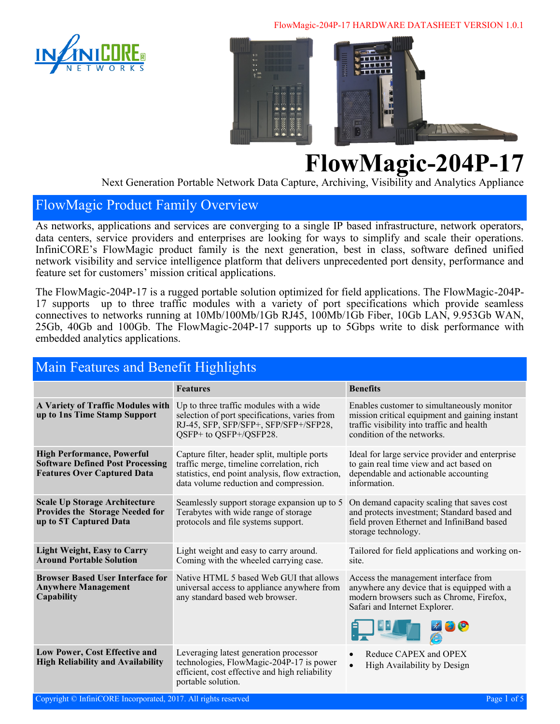#### FlowMagic-204P-17 HARDWARE DATASHEET VERSION 1.0.1





# **FlowMagic-204P-17**

Next Generation Portable Network Data Capture, Archiving, Visibility and Analytics Appliance

#### FlowMagic Product Family Overview

As networks, applications and services are converging to a single IP based infrastructure, network operators, data centers, service providers and enterprises are looking for ways to simplify and scale their operations. InfiniCORE's FlowMagic product family is the next generation, best in class, software defined unified network visibility and service intelligence platform that delivers unprecedented port density, performance and feature set for customers' mission critical applications.

The FlowMagic-204P-17 is a rugged portable solution optimized for field applications. The FlowMagic-204P-17 supports up to three traffic modules with a variety of port specifications which provide seamless connectives to networks running at 10Mb/100Mb/1Gb RJ45, 100Mb/1Gb Fiber, 10Gb LAN, 9.953Gb WAN, 25Gb, 40Gb and 100Gb. The FlowMagic-204P-17 supports up to 5Gbps write to disk performance with embedded analytics applications.

| Main Features and Benefit Highlights                                                                               |                                                                                                                                                                                         |                                                                                                                                                                          |  |
|--------------------------------------------------------------------------------------------------------------------|-----------------------------------------------------------------------------------------------------------------------------------------------------------------------------------------|--------------------------------------------------------------------------------------------------------------------------------------------------------------------------|--|
|                                                                                                                    | <b>Features</b>                                                                                                                                                                         | <b>Benefits</b>                                                                                                                                                          |  |
| A Variety of Traffic Modules with<br>up to 1ns Time Stamp Support                                                  | Up to three traffic modules with a wide<br>selection of port specifications, varies from<br>RJ-45, SFP, SFP/SFP+, SFP/SFP+/SFP28,<br>QSFP+ to QSFP+/QSFP28.                             | Enables customer to simultaneously monitor<br>mission critical equipment and gaining instant<br>traffic visibility into traffic and health<br>condition of the networks. |  |
| <b>High Performance, Powerful</b><br><b>Software Defined Post Processing</b><br><b>Features Over Captured Data</b> | Capture filter, header split, multiple ports<br>traffic merge, timeline correlation, rich<br>statistics, end point analysis, flow extraction,<br>data volume reduction and compression. | Ideal for large service provider and enterprise<br>to gain real time view and act based on<br>dependable and actionable accounting<br>information.                       |  |
| <b>Scale Up Storage Architecture</b><br>Provides the Storage Needed for<br>up to 5T Captured Data                  | Seamlessly support storage expansion up to 5<br>Terabytes with wide range of storage<br>protocols and file systems support.                                                             | On demand capacity scaling that saves cost<br>and protects investment; Standard based and<br>field proven Ethernet and InfiniBand based<br>storage technology.           |  |
| <b>Light Weight, Easy to Carry</b><br><b>Around Portable Solution</b>                                              | Light weight and easy to carry around.<br>Coming with the wheeled carrying case.                                                                                                        | Tailored for field applications and working on-<br>site.                                                                                                                 |  |
| <b>Browser Based User Interface for</b><br><b>Anywhere Management</b><br>Capability                                | Native HTML 5 based Web GUI that allows<br>universal access to appliance anywhere from<br>any standard based web browser.                                                               | Access the management interface from<br>anywhere any device that is equipped with a<br>modern browsers such as Chrome, Firefox,<br>Safari and Internet Explorer.         |  |
| Low Power, Cost Effective and<br><b>High Reliability and Availability</b>                                          | Leveraging latest generation processor<br>technologies, FlowMagic-204P-17 is power<br>efficient, cost effective and high reliability<br>portable solution.                              | Reduce CAPEX and OPEX<br>High Availability by Design                                                                                                                     |  |

#### Copyright © InfiniCORE Incorporated, 2017. All rights reserved **Page 1** of 5 and 5 and 5 and 5 and 5 and 5 and 5 and 5 and 5 and 5 and 5 and 5 and 5 and 5 and 5 and 5 and 5 and 5 and 5 and 5 and 5 and 5 and 5 and 5 and 5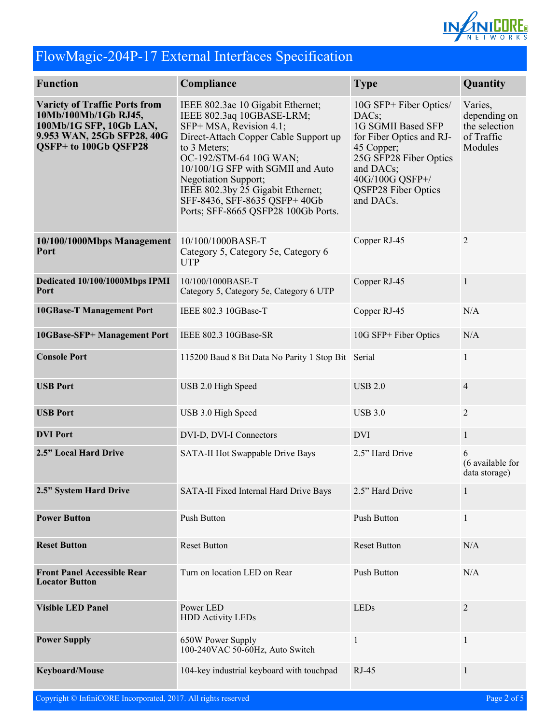

# FlowMagic-204P-17 External Interfaces Specification

| <b>Function</b>                                                                                                                                | Compliance                                                                                                                                                                                                                                                                                                                                             | <b>Type</b>                                                                                                                                                                                   | Quantity                                                          |
|------------------------------------------------------------------------------------------------------------------------------------------------|--------------------------------------------------------------------------------------------------------------------------------------------------------------------------------------------------------------------------------------------------------------------------------------------------------------------------------------------------------|-----------------------------------------------------------------------------------------------------------------------------------------------------------------------------------------------|-------------------------------------------------------------------|
| <b>Variety of Traffic Ports from</b><br>10Mb/100Mb/1Gb RJ45,<br>100Mb/1G SFP, 10Gb LAN,<br>9.953 WAN, 25Gb SFP28, 40G<br>QSFP+ to 100Gb QSFP28 | IEEE 802.3ae 10 Gigabit Ethernet;<br>IEEE 802.3aq 10GBASE-LRM;<br>SFP+ MSA, Revision 4.1;<br>Direct-Attach Copper Cable Support up<br>to 3 Meters;<br>OC-192/STM-64 10G WAN;<br>10/100/1G SFP with SGMII and Auto<br>Negotiation Support;<br>IEEE 802.3by 25 Gigabit Ethernet;<br>SFF-8436, SFF-8635 QSFP+ 40Gb<br>Ports; SFF-8665 QSFP28 100Gb Ports. | 10G SFP+ Fiber Optics/<br>DACs;<br>1G SGMII Based SFP<br>for Fiber Optics and RJ-<br>45 Copper;<br>25G SFP28 Fiber Optics<br>and DACs;<br>40G/100G QSFP+/<br>QSFP28 Fiber Optics<br>and DACs. | Varies,<br>depending on<br>the selection<br>of Traffic<br>Modules |
| 10/100/1000Mbps Management<br>Port                                                                                                             | 10/100/1000BASE-T<br>Category 5, Category 5e, Category 6<br><b>UTP</b>                                                                                                                                                                                                                                                                                 | Copper RJ-45                                                                                                                                                                                  | 2                                                                 |
| Dedicated 10/100/1000Mbps IPMI<br>Port                                                                                                         | 10/100/1000BASE-T<br>Category 5, Category 5e, Category 6 UTP                                                                                                                                                                                                                                                                                           | Copper RJ-45                                                                                                                                                                                  | $\mathbf{1}$                                                      |
| <b>10GBase-T Management Port</b>                                                                                                               | IEEE 802.3 10GBase-T                                                                                                                                                                                                                                                                                                                                   | Copper RJ-45                                                                                                                                                                                  | N/A                                                               |
| 10GBase-SFP+ Management Port                                                                                                                   | IEEE 802.3 10GBase-SR                                                                                                                                                                                                                                                                                                                                  | 10G SFP+ Fiber Optics                                                                                                                                                                         | N/A                                                               |
| <b>Console Port</b>                                                                                                                            | 115200 Baud 8 Bit Data No Parity 1 Stop Bit Serial                                                                                                                                                                                                                                                                                                     |                                                                                                                                                                                               | 1                                                                 |
| <b>USB Port</b>                                                                                                                                | USB 2.0 High Speed                                                                                                                                                                                                                                                                                                                                     | <b>USB 2.0</b>                                                                                                                                                                                | $\overline{4}$                                                    |
| <b>USB Port</b>                                                                                                                                | USB 3.0 High Speed                                                                                                                                                                                                                                                                                                                                     | <b>USB 3.0</b>                                                                                                                                                                                | $\overline{2}$                                                    |
| <b>DVI</b> Port                                                                                                                                | DVI-D, DVI-I Connectors                                                                                                                                                                                                                                                                                                                                | <b>DVI</b>                                                                                                                                                                                    | $\mathbf{1}$                                                      |
| 2.5" Local Hard Drive                                                                                                                          | SATA-II Hot Swappable Drive Bays                                                                                                                                                                                                                                                                                                                       | 2.5" Hard Drive                                                                                                                                                                               | 6<br>(6 available for<br>data storage)                            |
| 2.5" System Hard Drive                                                                                                                         | SATA-II Fixed Internal Hard Drive Bays                                                                                                                                                                                                                                                                                                                 | 2.5" Hard Drive                                                                                                                                                                               | $\mathbf{1}$                                                      |
| <b>Power Button</b>                                                                                                                            | <b>Push Button</b>                                                                                                                                                                                                                                                                                                                                     | Push Button                                                                                                                                                                                   | $\mathbf{1}$                                                      |
| <b>Reset Button</b>                                                                                                                            | <b>Reset Button</b>                                                                                                                                                                                                                                                                                                                                    | <b>Reset Button</b>                                                                                                                                                                           | N/A                                                               |
| <b>Front Panel Accessible Rear</b><br><b>Locator Button</b>                                                                                    | Turn on location LED on Rear                                                                                                                                                                                                                                                                                                                           | Push Button                                                                                                                                                                                   | N/A                                                               |
| <b>Visible LED Panel</b>                                                                                                                       | Power LED<br><b>HDD Activity LEDs</b>                                                                                                                                                                                                                                                                                                                  | <b>LEDs</b>                                                                                                                                                                                   | $\overline{2}$                                                    |
| <b>Power Supply</b>                                                                                                                            | 650W Power Supply<br>100-240VAC 50-60Hz, Auto Switch                                                                                                                                                                                                                                                                                                   | 1                                                                                                                                                                                             | $\mathbf{1}$                                                      |
| Keyboard/Mouse                                                                                                                                 | 104-key industrial keyboard with touchpad                                                                                                                                                                                                                                                                                                              | RJ-45                                                                                                                                                                                         | $\mathbf{1}$                                                      |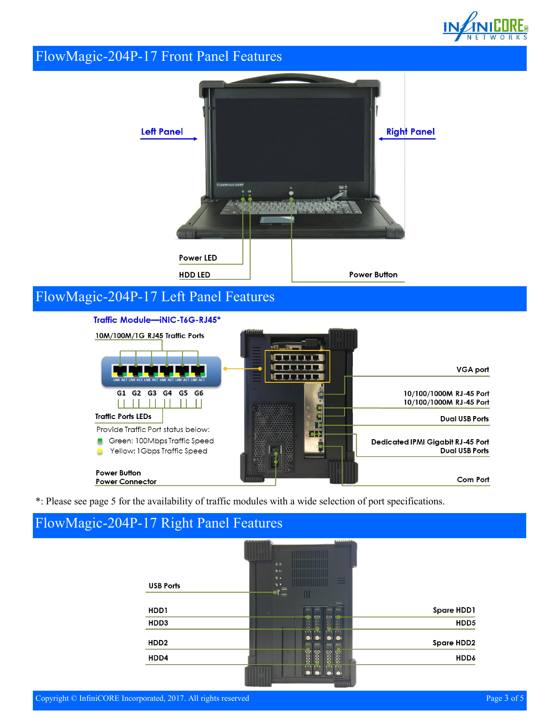

#### FlowMagic-204P-17 Front Panel Features



# FlowMagic-204P-17 Left Panel Features



\*: Please see page 5 for the availability of traffic modules with a wide selection of port specifications.

#### FlowMagic-204P-17 Right Panel Features

| <b>Bishhidi Bak</b>  | <b>CARACACACACA</b>                   |                                                    |
|----------------------|---------------------------------------|----------------------------------------------------|
|                      |                                       |                                                    |
|                      | 90                                    |                                                    |
|                      | 9B                                    |                                                    |
|                      |                                       | <b>USB Ports</b>                                   |
|                      |                                       |                                                    |
|                      |                                       |                                                    |
| BAY<br>BAYS.<br>BAYE |                                       | HDD1                                               |
|                      |                                       | HDD3                                               |
|                      |                                       |                                                    |
|                      |                                       | HDD <sub>2</sub>                                   |
|                      |                                       | HDD4                                               |
|                      |                                       |                                                    |
|                      |                                       |                                                    |
|                      | Ш<br><b>SPANE</b><br><b>BAY!</b><br>Ŧ | 9 <sub>A</sub><br>9.7<br>$\mathbb{F}^{\mathbb{F}}$ |

**TITUTUL**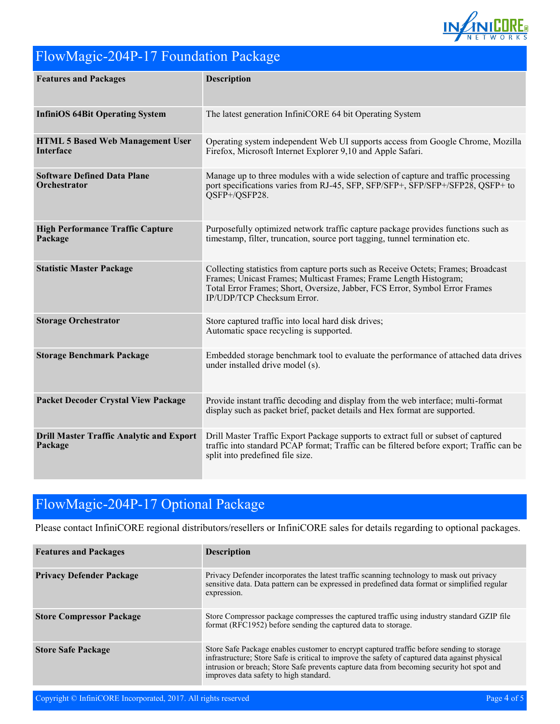

# FlowMagic-204P-17 Foundation Package

| <b>Features and Packages</b>                                | <b>Description</b>                                                                                                                                                                                                                                                   |
|-------------------------------------------------------------|----------------------------------------------------------------------------------------------------------------------------------------------------------------------------------------------------------------------------------------------------------------------|
| <b>InfiniOS 64Bit Operating System</b>                      | The latest generation InfiniCORE 64 bit Operating System                                                                                                                                                                                                             |
| <b>HTML 5 Based Web Management User</b><br><b>Interface</b> | Operating system independent Web UI supports access from Google Chrome, Mozilla<br>Firefox, Microsoft Internet Explorer 9,10 and Apple Safari.                                                                                                                       |
| <b>Software Defined Data Plane</b><br>Orchestrator          | Manage up to three modules with a wide selection of capture and traffic processing<br>port specifications varies from RJ-45, SFP, SFP/SFP+, SFP/SFP+/SFP28, QSFP+ to<br>QSFP+/QSFP28.                                                                                |
| <b>High Performance Traffic Capture</b><br>Package          | Purposefully optimized network traffic capture package provides functions such as<br>timestamp, filter, truncation, source port tagging, tunnel termination etc.                                                                                                     |
| <b>Statistic Master Package</b>                             | Collecting statistics from capture ports such as Receive Octets; Frames; Broadcast<br>Frames; Unicast Frames; Multicast Frames; Frame Length Histogram;<br>Total Error Frames; Short, Oversize, Jabber, FCS Error, Symbol Error Frames<br>IP/UDP/TCP Checksum Error. |
| <b>Storage Orchestrator</b>                                 | Store captured traffic into local hard disk drives;<br>Automatic space recycling is supported.                                                                                                                                                                       |
| <b>Storage Benchmark Package</b>                            | Embedded storage benchmark tool to evaluate the performance of attached data drives<br>under installed drive model (s).                                                                                                                                              |
| <b>Packet Decoder Crystal View Package</b>                  | Provide instant traffic decoding and display from the web interface; multi-format<br>display such as packet brief, packet details and Hex format are supported.                                                                                                      |
| <b>Drill Master Traffic Analytic and Export</b><br>Package  | Drill Master Traffic Export Package supports to extract full or subset of captured<br>traffic into standard PCAP format; Traffic can be filtered before export; Traffic can be<br>split into predefined file size.                                                   |

## FlowMagic-204P-17 Optional Package

Please contact InfiniCORE regional distributors/resellers or InfiniCORE sales for details regarding to optional packages.

| <b>Features and Packages</b>    | <b>Description</b>                                                                                                                                                                                                                                                                                                                 |
|---------------------------------|------------------------------------------------------------------------------------------------------------------------------------------------------------------------------------------------------------------------------------------------------------------------------------------------------------------------------------|
| <b>Privacy Defender Package</b> | Privacy Defender incorporates the latest traffic scanning technology to mask out privacy<br>sensitive data. Data pattern can be expressed in predefined data format or simplified regular<br>expression.                                                                                                                           |
| <b>Store Compressor Package</b> | Store Compressor package compresses the captured traffic using industry standard GZIP file<br>format (RFC1952) before sending the captured data to storage.                                                                                                                                                                        |
| <b>Store Safe Package</b>       | Store Safe Package enables customer to encrypt captured traffic before sending to storage<br>infrastructure; Store Safe is critical to improve the safety of captured data against physical<br>intrusion or breach; Store Safe prevents capture data from becoming security hot spot and<br>improves data safety to high standard. |